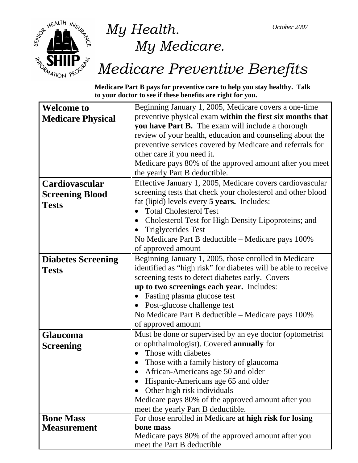

## *My Health. My Medicare.*

# *Medicare Preventive Benefits*

**Medicare Part B pays for preventive care to help you stay healthy. Talk to your doctor to see if these benefits are right for you.** 

| <b>Welcome to</b>         | Beginning January 1, 2005, Medicare covers a one-time          |  |  |
|---------------------------|----------------------------------------------------------------|--|--|
| <b>Medicare Physical</b>  | preventive physical exam within the first six months that      |  |  |
|                           | you have Part B. The exam will include a thorough              |  |  |
|                           | review of your health, education and counseling about the      |  |  |
|                           | preventive services covered by Medicare and referrals for      |  |  |
|                           | other care if you need it.                                     |  |  |
|                           | Medicare pays 80% of the approved amount after you meet        |  |  |
|                           | the yearly Part B deductible.                                  |  |  |
| Cardiovascular            | Effective January 1, 2005, Medicare covers cardiovascular      |  |  |
| <b>Screening Blood</b>    | screening tests that check your cholesterol and other blood    |  |  |
| <b>Tests</b>              | fat (lipid) levels every 5 years. Includes:                    |  |  |
|                           | <b>Total Cholesterol Test</b>                                  |  |  |
|                           | Cholesterol Test for High Density Lipoproteins; and            |  |  |
|                           | <b>Triglycerides Test</b>                                      |  |  |
|                           | No Medicare Part B deductible – Medicare pays 100%             |  |  |
|                           | of approved amount                                             |  |  |
| <b>Diabetes Screening</b> | Beginning January 1, 2005, those enrolled in Medicare          |  |  |
| <b>Tests</b>              | identified as "high risk" for diabetes will be able to receive |  |  |
|                           | screening tests to detect diabetes early. Covers               |  |  |
|                           | up to two screenings each year. Includes:                      |  |  |
|                           | Fasting plasma glucose test                                    |  |  |
|                           | Post-glucose challenge test                                    |  |  |
|                           | No Medicare Part B deductible – Medicare pays 100%             |  |  |
|                           | of approved amount                                             |  |  |
| <b>Glaucoma</b>           | Must be done or supervised by an eye doctor (optometrist)      |  |  |
| <b>Screening</b>          | or ophthalmologist). Covered annually for                      |  |  |
|                           | Those with diabetes                                            |  |  |
|                           | Those with a family history of glaucoma                        |  |  |
|                           | African-Americans age 50 and older                             |  |  |
|                           | Hispanic-Americans age 65 and older                            |  |  |
|                           | Other high risk individuals                                    |  |  |
|                           | Medicare pays 80% of the approved amount after you             |  |  |
|                           | meet the yearly Part B deductible.                             |  |  |
| <b>Bone Mass</b>          | For those enrolled in Medicare at high risk for losing         |  |  |
| <b>Measurement</b>        | bone mass                                                      |  |  |
|                           | Medicare pays 80% of the approved amount after you             |  |  |
|                           | meet the Part B deductible                                     |  |  |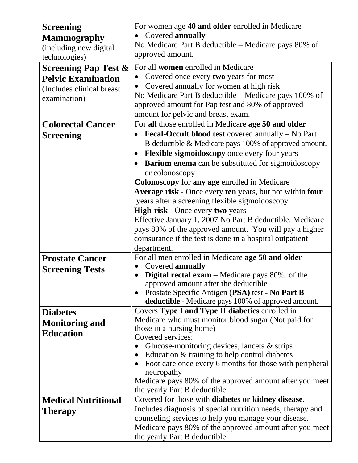| <b>Screening</b>                | For women age 40 and older enrolled in Medicare                                 |  |  |  |
|---------------------------------|---------------------------------------------------------------------------------|--|--|--|
| <b>Mammography</b>              | Covered annually                                                                |  |  |  |
| (including new digital          | No Medicare Part B deductible - Medicare pays 80% of                            |  |  |  |
| technologies)                   | approved amount.                                                                |  |  |  |
| <b>Screening Pap Test &amp;</b> | For all <b>women</b> enrolled in Medicare                                       |  |  |  |
| <b>Pelvic Examination</b>       | Covered once every two years for most                                           |  |  |  |
|                                 | Covered annually for women at high risk                                         |  |  |  |
| (Includes clinical breast       | No Medicare Part B deductible – Medicare pays 100% of                           |  |  |  |
| examination)                    | approved amount for Pap test and 80% of approved                                |  |  |  |
|                                 | amount for pelvic and breast exam.                                              |  |  |  |
| <b>Colorectal Cancer</b>        | For all those enrolled in Medicare age 50 and older                             |  |  |  |
| <b>Screening</b>                | Fecal-Occult blood test covered annually - No Part                              |  |  |  |
|                                 | B deductible & Medicare pays 100% of approved amount.                           |  |  |  |
|                                 | Flexible sigmoidoscopy once every four years                                    |  |  |  |
|                                 | <b>Barium enema</b> can be substituted for sigmoidoscopy                        |  |  |  |
|                                 | or colonoscopy                                                                  |  |  |  |
|                                 | Colonoscopy for any age enrolled in Medicare                                    |  |  |  |
|                                 | Average risk - Once every ten years, but not within four                        |  |  |  |
|                                 | years after a screening flexible sigmoidoscopy                                  |  |  |  |
|                                 | High-risk - Once every two years                                                |  |  |  |
|                                 | Effective January 1, 2007 No Part B deductible. Medicare                        |  |  |  |
|                                 | pays 80% of the approved amount. You will pay a higher                          |  |  |  |
|                                 | coinsurance if the test is done in a hospital outpatient                        |  |  |  |
|                                 | department.                                                                     |  |  |  |
| <b>Prostate Cancer</b>          | For all men enrolled in Medicare age 50 and older                               |  |  |  |
| <b>Screening Tests</b>          | Covered annually                                                                |  |  |  |
|                                 | <b>Digital rectal exam</b> – Medicare pays $80\%$ of the                        |  |  |  |
|                                 | approved amount after the deductible                                            |  |  |  |
|                                 | Prostate Specific Antigen (PSA) test - No Part B                                |  |  |  |
|                                 | deductible - Medicare pays 100% of approved amount.                             |  |  |  |
| <b>Diabetes</b>                 | Covers Type I and Type II diabetics enrolled in                                 |  |  |  |
| <b>Monitoring and</b>           | Medicare who must monitor blood sugar (Not paid for<br>those in a nursing home) |  |  |  |
| <b>Education</b>                | Covered services:                                                               |  |  |  |
|                                 | Glucose-monitoring devices, lancets $\&$ strips                                 |  |  |  |
|                                 | Education & training to help control diabetes                                   |  |  |  |
|                                 | Foot care once every 6 months for those with peripheral                         |  |  |  |
|                                 | neuropathy                                                                      |  |  |  |
|                                 | Medicare pays 80% of the approved amount after you meet                         |  |  |  |
|                                 | the yearly Part B deductible.                                                   |  |  |  |
| <b>Medical Nutritional</b>      | Covered for those with <b>diabetes or kidney disease.</b>                       |  |  |  |
| <b>Therapy</b>                  | Includes diagnosis of special nutrition needs, therapy and                      |  |  |  |
|                                 | counseling services to help you manage your disease.                            |  |  |  |
|                                 | Medicare pays 80% of the approved amount after you meet                         |  |  |  |
|                                 | the yearly Part B deductible.                                                   |  |  |  |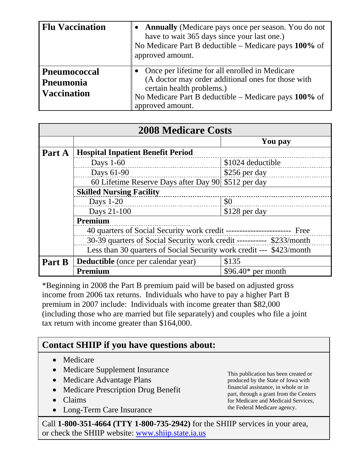| <b>Flu Vaccination</b>                                 | <b>Annually</b> (Medicare pays once per season. You do not<br>have to wait 365 days since your last one.)<br>No Medicare Part B deductible – Medicare pays 100% of<br>approved amount.                         |
|--------------------------------------------------------|----------------------------------------------------------------------------------------------------------------------------------------------------------------------------------------------------------------|
| <b>Pneumococcal</b><br>Pneumonia<br><b>Vaccination</b> | Once per lifetime for all enrolled in Medicare<br>(A doctor may order additional ones for those with<br>certain health problems.)<br>No Medicare Part B deductible – Medicare pays 100% of<br>approved amount. |

| <b>2008 Medicare Costs</b>      |                                                                                                                                                                                                                             |                     |  |  |  |
|---------------------------------|-----------------------------------------------------------------------------------------------------------------------------------------------------------------------------------------------------------------------------|---------------------|--|--|--|
|                                 |                                                                                                                                                                                                                             | You pay             |  |  |  |
| Part A                          | <b>Hospital Inpatient Benefit Period</b>                                                                                                                                                                                    |                     |  |  |  |
|                                 | Days $1-60$                                                                                                                                                                                                                 | \$1024 deductible   |  |  |  |
|                                 | Days 61-90                                                                                                                                                                                                                  | \$256 per day       |  |  |  |
|                                 | 60 Lifetime Reserve Days after Day 90 \$512 per day                                                                                                                                                                         |                     |  |  |  |
| <b>Skilled Nursing Facility</b> |                                                                                                                                                                                                                             |                     |  |  |  |
|                                 | Days 1-20<br><u> 1986 - Jan Alexandria de Alexandro de Alexandro de Alexandro de Alexandro de Alexandro de Alexandro de Alexandro d</u>                                                                                     | \$0                 |  |  |  |
|                                 | Days 21-100                                                                                                                                                                                                                 | \$128 per day       |  |  |  |
|                                 | Premium                                                                                                                                                                                                                     |                     |  |  |  |
|                                 | 40 quarters of Social Security work credit -------------------------- Free<br>30-39 quarters of Social Security work credit ----------- \$233/month<br>Less than 30 quarters of Social Security work credit --- \$423/month |                     |  |  |  |
|                                 |                                                                                                                                                                                                                             |                     |  |  |  |
|                                 |                                                                                                                                                                                                                             |                     |  |  |  |
| Part B                          | Deductible (once per calendar year)                                                                                                                                                                                         | \$135               |  |  |  |
|                                 | Premium                                                                                                                                                                                                                     | $$96.40*$ per month |  |  |  |

\*Beginning in 2008 the Part B premium paid will be based on adjusted gross income from 2006 tax returns. Individuals who have to pay a higher Part B premium in 2007 include: Individuals with income greater than \$82,000 (including those who are married but file separately) and couples who file a joint tax return with income greater than \$164,000.

#### **Contact SHIIP if you have questions about:**

- Medicare
- Medicare Supplement Insurance
- Medicare Advantage Plans
- Medicare Prescription Drug Benefit
- Claims
- Long-Term Care Insurance

This publication has been created or produced by the State of Iowa with financial assistance, in whole or in part, through a grant from the Centers for Medicare and Medicaid Services, the Federal Medicare agency.

Call **1-800-351-4664 (TTY 1-800-735-2942)** for the SHIIP services in your area, or check the SHIIP website: [www.shiip.state.ia.us](http://www.shiip.state.ia.us/)